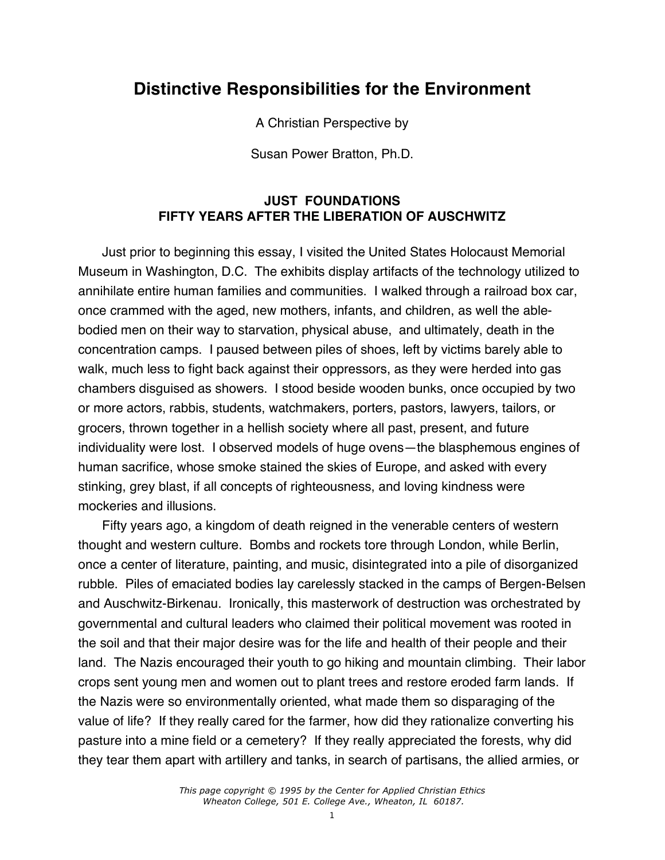# **Distinctive Responsibilities for the Environment**

A Christian Perspective by

Susan Power Bratton, Ph.D.

# **JUST FOUNDATIONS FIFTY YEARS AFTER THE LIBERATION OF AUSCHWITZ**

Just prior to beginning this essay, I visited the United States Holocaust Memorial Museum in Washington, D.C. The exhibits display artifacts of the technology utilized to annihilate entire human families and communities. I walked through a railroad box car, once crammed with the aged, new mothers, infants, and children, as well the ablebodied men on their way to starvation, physical abuse, and ultimately, death in the concentration camps. I paused between piles of shoes, left by victims barely able to walk, much less to fight back against their oppressors, as they were herded into gas chambers disguised as showers. I stood beside wooden bunks, once occupied by two or more actors, rabbis, students, watchmakers, porters, pastors, lawyers, tailors, or grocers, thrown together in a hellish society where all past, present, and future individuality were lost. I observed models of huge ovens—the blasphemous engines of human sacrifice, whose smoke stained the skies of Europe, and asked with every stinking, grey blast, if all concepts of righteousness, and loving kindness were mockeries and illusions.

Fifty years ago, a kingdom of death reigned in the venerable centers of western thought and western culture. Bombs and rockets tore through London, while Berlin, once a center of literature, painting, and music, disintegrated into a pile of disorganized rubble. Piles of emaciated bodies lay carelessly stacked in the camps of Bergen-Belsen and Auschwitz-Birkenau. Ironically, this masterwork of destruction was orchestrated by governmental and cultural leaders who claimed their political movement was rooted in the soil and that their major desire was for the life and health of their people and their land. The Nazis encouraged their youth to go hiking and mountain climbing. Their labor crops sent young men and women out to plant trees and restore eroded farm lands. If the Nazis were so environmentally oriented, what made them so disparaging of the value of life? If they really cared for the farmer, how did they rationalize converting his pasture into a mine field or a cemetery? If they really appreciated the forests, why did they tear them apart with artillery and tanks, in search of partisans, the allied armies, or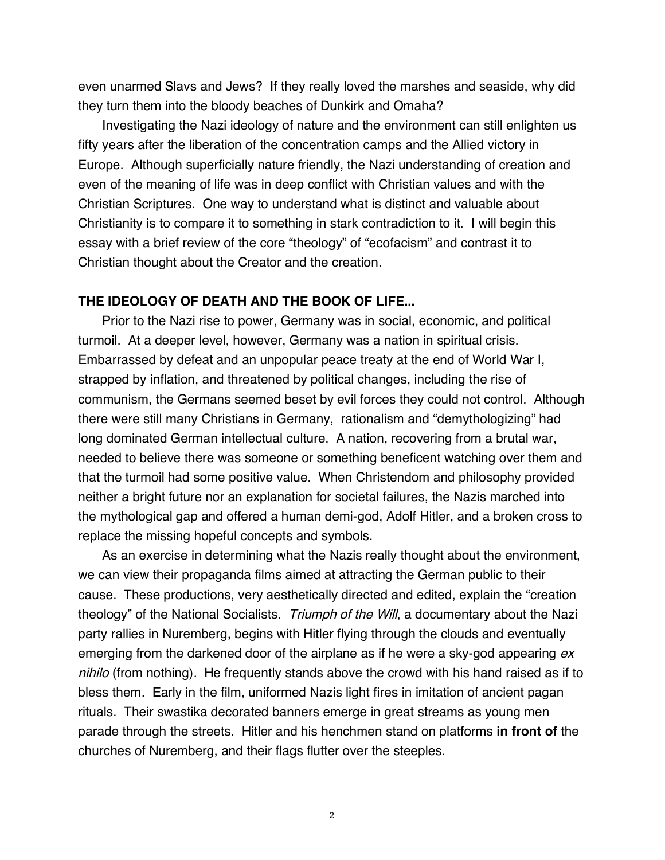even unarmed Slavs and Jews? If they really loved the marshes and seaside, why did they turn them into the bloody beaches of Dunkirk and Omaha?

Investigating the Nazi ideology of nature and the environment can still enlighten us fifty years after the liberation of the concentration camps and the Allied victory in Europe. Although superficially nature friendly, the Nazi understanding of creation and even of the meaning of life was in deep conflict with Christian values and with the Christian Scriptures. One way to understand what is distinct and valuable about Christianity is to compare it to something in stark contradiction to it. I will begin this essay with a brief review of the core "theology" of "ecofacism" and contrast it to Christian thought about the Creator and the creation.

#### **THE IDEOLOGY OF DEATH AND THE BOOK OF LIFE...**

Prior to the Nazi rise to power, Germany was in social, economic, and political turmoil. At a deeper level, however, Germany was a nation in spiritual crisis. Embarrassed by defeat and an unpopular peace treaty at the end of World War I, strapped by inflation, and threatened by political changes, including the rise of communism, the Germans seemed beset by evil forces they could not control. Although there were still many Christians in Germany, rationalism and "demythologizing" had long dominated German intellectual culture. A nation, recovering from a brutal war, needed to believe there was someone or something beneficent watching over them and that the turmoil had some positive value. When Christendom and philosophy provided neither a bright future nor an explanation for societal failures, the Nazis marched into the mythological gap and offered a human demi-god, Adolf Hitler, and a broken cross to replace the missing hopeful concepts and symbols.

As an exercise in determining what the Nazis really thought about the environment, we can view their propaganda films aimed at attracting the German public to their cause. These productions, very aesthetically directed and edited, explain the "creation theology" of the National Socialists. Triumph of the Will, a documentary about the Nazi party rallies in Nuremberg, begins with Hitler flying through the clouds and eventually emerging from the darkened door of the airplane as if he were a sky-god appearing  $ex$ nihilo (from nothing). He frequently stands above the crowd with his hand raised as if to bless them. Early in the film, uniformed Nazis light fires in imitation of ancient pagan rituals. Their swastika decorated banners emerge in great streams as young men parade through the streets. Hitler and his henchmen stand on platforms **in front of** the churches of Nuremberg, and their flags flutter over the steeples.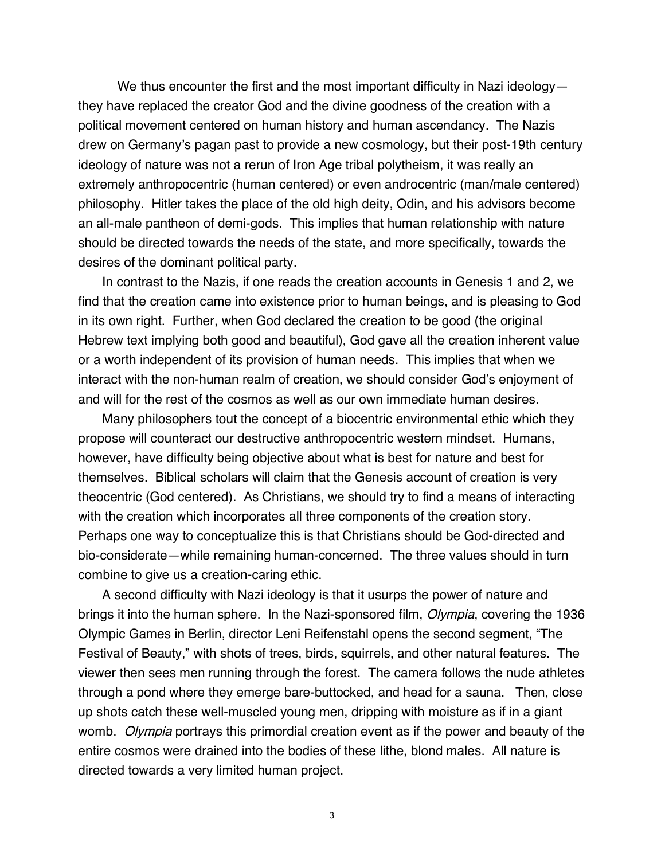We thus encounter the first and the most important difficulty in Nazi ideologythey have replaced the creator God and the divine goodness of the creation with a political movement centered on human history and human ascendancy. The Nazis drew on Germany's pagan past to provide a new cosmology, but their post-19th century ideology of nature was not a rerun of Iron Age tribal polytheism, it was really an extremely anthropocentric (human centered) or even androcentric (man/male centered) philosophy. Hitler takes the place of the old high deity, Odin, and his advisors become an all-male pantheon of demi-gods. This implies that human relationship with nature should be directed towards the needs of the state, and more specifically, towards the desires of the dominant political party.

In contrast to the Nazis, if one reads the creation accounts in Genesis 1 and 2, we find that the creation came into existence prior to human beings, and is pleasing to God in its own right. Further, when God declared the creation to be good (the original Hebrew text implying both good and beautiful), God gave all the creation inherent value or a worth independent of its provision of human needs. This implies that when we interact with the non-human realm of creation, we should consider God's enjoyment of and will for the rest of the cosmos as well as our own immediate human desires.

Many philosophers tout the concept of a biocentric environmental ethic which they propose will counteract our destructive anthropocentric western mindset. Humans, however, have difficulty being objective about what is best for nature and best for themselves. Biblical scholars will claim that the Genesis account of creation is very theocentric (God centered). As Christians, we should try to find a means of interacting with the creation which incorporates all three components of the creation story. Perhaps one way to conceptualize this is that Christians should be God-directed and bio-considerate—while remaining human-concerned. The three values should in turn combine to give us a creation-caring ethic.

A second difficulty with Nazi ideology is that it usurps the power of nature and brings it into the human sphere. In the Nazi-sponsored film, *Olympia*, covering the 1936 Olympic Games in Berlin, director Leni Reifenstahl opens the second segment, "The Festival of Beauty," with shots of trees, birds, squirrels, and other natural features. The viewer then sees men running through the forest. The camera follows the nude athletes through a pond where they emerge bare-buttocked, and head for a sauna. Then, close up shots catch these well-muscled young men, dripping with moisture as if in a giant womb. *Olympia* portrays this primordial creation event as if the power and beauty of the entire cosmos were drained into the bodies of these lithe, blond males. All nature is directed towards a very limited human project.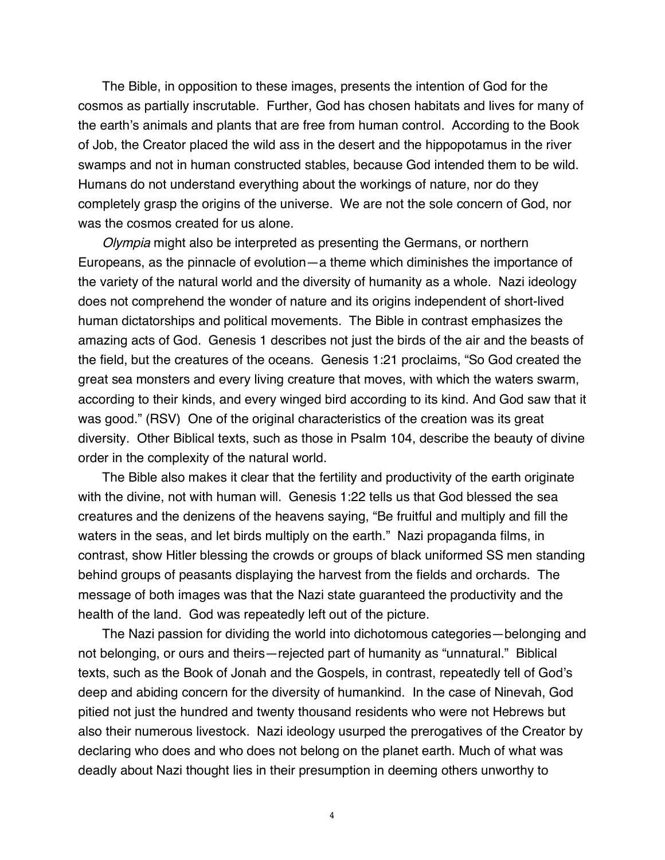The Bible, in opposition to these images, presents the intention of God for the cosmos as partially inscrutable. Further, God has chosen habitats and lives for many of the earth's animals and plants that are free from human control. According to the Book of Job, the Creator placed the wild ass in the desert and the hippopotamus in the river swamps and not in human constructed stables, because God intended them to be wild. Humans do not understand everything about the workings of nature, nor do they completely grasp the origins of the universe. We are not the sole concern of God, nor was the cosmos created for us alone.

Olympia might also be interpreted as presenting the Germans, or northern Europeans, as the pinnacle of evolution—a theme which diminishes the importance of the variety of the natural world and the diversity of humanity as a whole. Nazi ideology does not comprehend the wonder of nature and its origins independent of short-lived human dictatorships and political movements. The Bible in contrast emphasizes the amazing acts of God. Genesis 1 describes not just the birds of the air and the beasts of the field, but the creatures of the oceans. Genesis 1:21 proclaims, "So God created the great sea monsters and every living creature that moves, with which the waters swarm, according to their kinds, and every winged bird according to its kind. And God saw that it was good." (RSV) One of the original characteristics of the creation was its great diversity. Other Biblical texts, such as those in Psalm 104, describe the beauty of divine order in the complexity of the natural world.

The Bible also makes it clear that the fertility and productivity of the earth originate with the divine, not with human will. Genesis 1:22 tells us that God blessed the sea creatures and the denizens of the heavens saying, "Be fruitful and multiply and fill the waters in the seas, and let birds multiply on the earth." Nazi propaganda films, in contrast, show Hitler blessing the crowds or groups of black uniformed SS men standing behind groups of peasants displaying the harvest from the fields and orchards. The message of both images was that the Nazi state guaranteed the productivity and the health of the land. God was repeatedly left out of the picture.

The Nazi passion for dividing the world into dichotomous categories—belonging and not belonging, or ours and theirs—rejected part of humanity as "unnatural." Biblical texts, such as the Book of Jonah and the Gospels, in contrast, repeatedly tell of God's deep and abiding concern for the diversity of humankind. In the case of Ninevah, God pitied not just the hundred and twenty thousand residents who were not Hebrews but also their numerous livestock. Nazi ideology usurped the prerogatives of the Creator by declaring who does and who does not belong on the planet earth. Much of what was deadly about Nazi thought lies in their presumption in deeming others unworthy to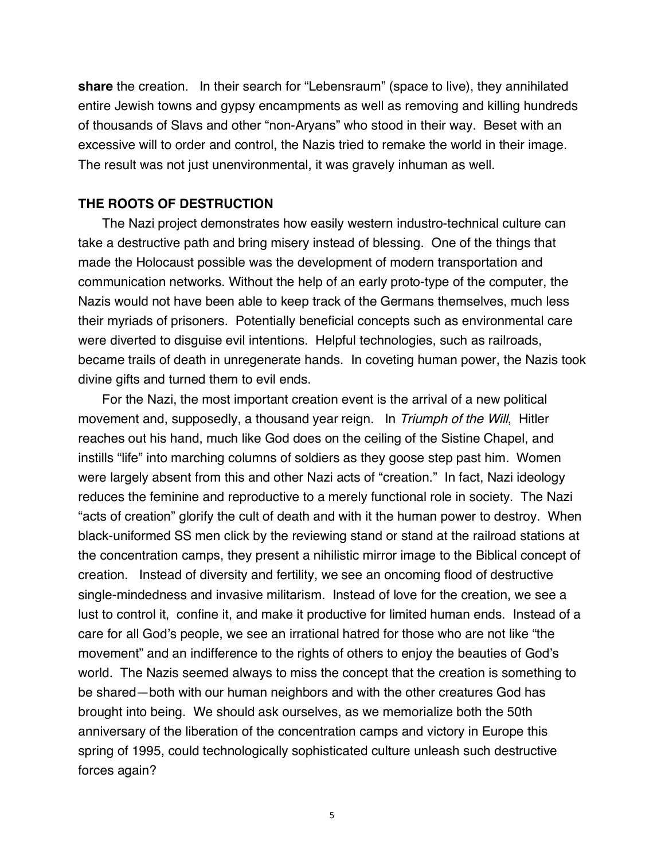**share** the creation. In their search for "Lebensraum" (space to live), they annihilated entire Jewish towns and gypsy encampments as well as removing and killing hundreds of thousands of Slavs and other "non-Aryans" who stood in their way. Beset with an excessive will to order and control, the Nazis tried to remake the world in their image. The result was not just unenvironmental, it was gravely inhuman as well.

## **THE ROOTS OF DESTRUCTION**

The Nazi project demonstrates how easily western industro-technical culture can take a destructive path and bring misery instead of blessing. One of the things that made the Holocaust possible was the development of modern transportation and communication networks. Without the help of an early proto-type of the computer, the Nazis would not have been able to keep track of the Germans themselves, much less their myriads of prisoners. Potentially beneficial concepts such as environmental care were diverted to disguise evil intentions. Helpful technologies, such as railroads, became trails of death in unregenerate hands. In coveting human power, the Nazis took divine gifts and turned them to evil ends.

For the Nazi, the most important creation event is the arrival of a new political movement and, supposedly, a thousand year reign. In Triumph of the Will, Hitler reaches out his hand, much like God does on the ceiling of the Sistine Chapel, and instills "life" into marching columns of soldiers as they goose step past him. Women were largely absent from this and other Nazi acts of "creation." In fact, Nazi ideology reduces the feminine and reproductive to a merely functional role in society. The Nazi "acts of creation" glorify the cult of death and with it the human power to destroy. When black-uniformed SS men click by the reviewing stand or stand at the railroad stations at the concentration camps, they present a nihilistic mirror image to the Biblical concept of creation. Instead of diversity and fertility, we see an oncoming flood of destructive single-mindedness and invasive militarism. Instead of love for the creation, we see a lust to control it, confine it, and make it productive for limited human ends. Instead of a care for all God's people, we see an irrational hatred for those who are not like "the movement" and an indifference to the rights of others to enjoy the beauties of God's world. The Nazis seemed always to miss the concept that the creation is something to be shared—both with our human neighbors and with the other creatures God has brought into being. We should ask ourselves, as we memorialize both the 50th anniversary of the liberation of the concentration camps and victory in Europe this spring of 1995, could technologically sophisticated culture unleash such destructive forces again?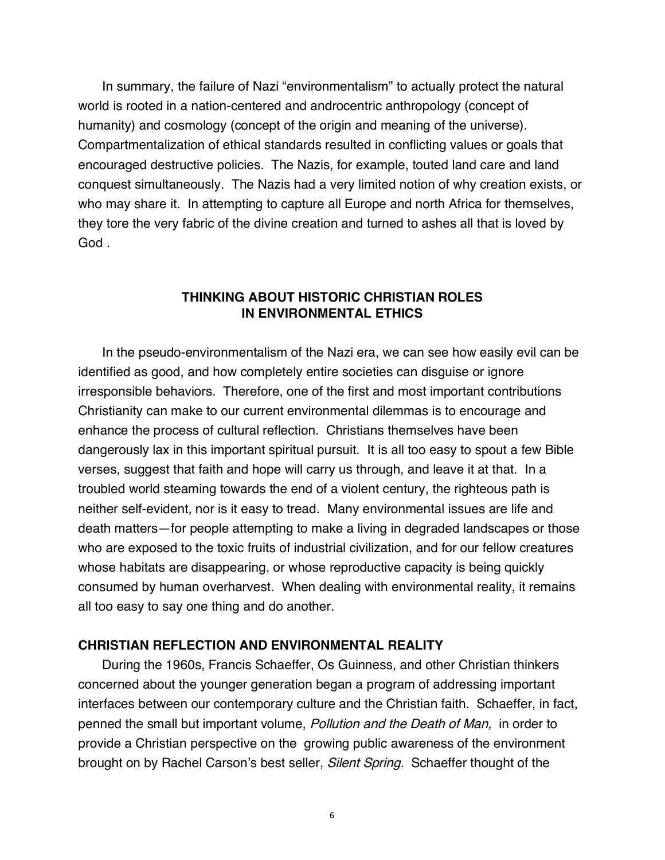In summary, the failure of Nazi "environmentalism" to actually protect the natural world is rooted in a nation-centered and androcentric anthropology (concept of humanity) and cosmology (concept of the origin and meaning of the universe). Compartmentalization of ethical standards resulted in conflicting values or goals that encouraged destructive policies. The Nazis, for example, touted land care and land conquest simultaneously. The Nazis had a very limited notion of why creation exists, or who may share it. In attempting to capture all Europe and north Africa for themselves, they tore the very fabric of the divine creation and turned to ashes all that is loved by God .

## **THINKING ABOUT HISTORIC CHRISTIAN ROLES IN ENVIRONMENTAL ETHICS**

In the pseudo-environmentalism of the Nazi era, we can see how easily evil can be identified as good, and how completely entire societies can disguise or ignore irresponsible behaviors. Therefore, one of the first and most important contributions Christianity can make to our current environmental dilemmas is to encourage and enhance the process of cultural reflection. Christians themselves have been dangerously lax in this important spiritual pursuit. It is all too easy to spout a few Bible verses, suggest that faith and hope will carry us through, and leave it at that. In a troubled world steaming towards the end of a violent century, the righteous path is neither self-evident, nor is it easy to tread. Many environmental issues are life and death matters—for people attempting to make a living in degraded landscapes or those who are exposed to the toxic fruits of industrial civilization, and for our fellow creatures whose habitats are disappearing, or whose reproductive capacity is being quickly consumed by human overharvest. When dealing with environmental reality, it remains all too easy to say one thing and do another.

## **CHRISTIAN REFLECTION AND ENVIRONMENTAL REALITY**

During the 1960s, Francis Schaeffer, Os Guinness, and other Christian thinkers concerned about the younger generation began a program of addressing important interfaces between our contemporary culture and the Christian faith. Schaeffer, in fact, penned the small but important volume, Pollution and the Death of Man, in order to provide a Christian perspective on the growing public awareness of the environment brought on by Rachel Carson's best seller, Silent Spring. Schaeffer thought of the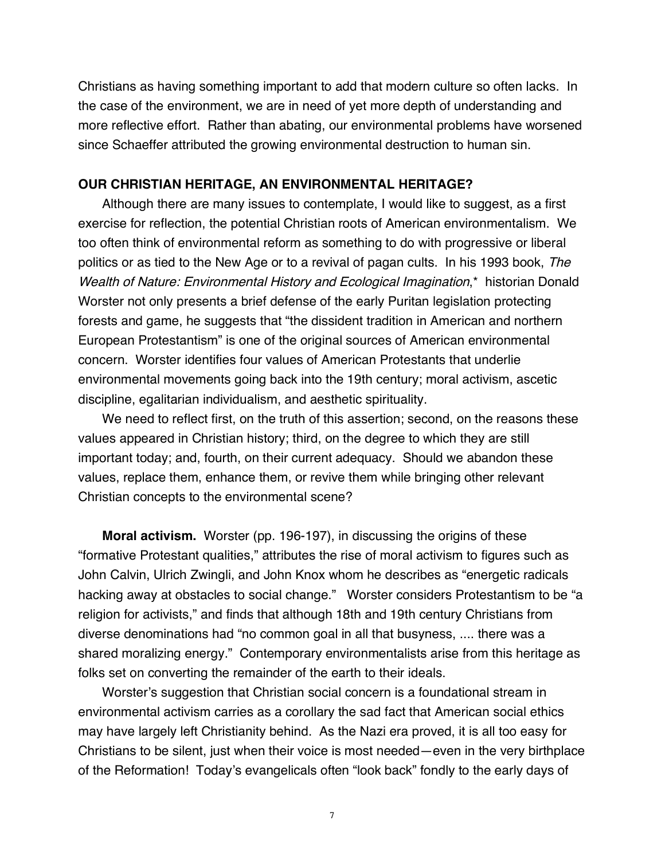Christians as having something important to add that modern culture so often lacks. In the case of the environment, we are in need of yet more depth of understanding and more reflective effort. Rather than abating, our environmental problems have worsened since Schaeffer attributed the growing environmental destruction to human sin.

#### **OUR CHRISTIAN HERITAGE, AN ENVIRONMENTAL HERITAGE?**

Although there are many issues to contemplate, I would like to suggest, as a first exercise for reflection, the potential Christian roots of American environmentalism. We too often think of environmental reform as something to do with progressive or liberal politics or as tied to the New Age or to a revival of pagan cults. In his 1993 book, The Wealth of Nature: Environmental History and Ecological Imagination,\* historian Donald Worster not only presents a brief defense of the early Puritan legislation protecting forests and game, he suggests that "the dissident tradition in American and northern European Protestantism" is one of the original sources of American environmental concern. Worster identifies four values of American Protestants that underlie environmental movements going back into the 19th century; moral activism, ascetic discipline, egalitarian individualism, and aesthetic spirituality.

We need to reflect first, on the truth of this assertion; second, on the reasons these values appeared in Christian history; third, on the degree to which they are still important today; and, fourth, on their current adequacy. Should we abandon these values, replace them, enhance them, or revive them while bringing other relevant Christian concepts to the environmental scene?

**Moral activism.** Worster (pp. 196-197), in discussing the origins of these "formative Protestant qualities," attributes the rise of moral activism to figures such as John Calvin, Ulrich Zwingli, and John Knox whom he describes as "energetic radicals hacking away at obstacles to social change." Worster considers Protestantism to be "a religion for activists," and finds that although 18th and 19th century Christians from diverse denominations had "no common goal in all that busyness, .... there was a shared moralizing energy." Contemporary environmentalists arise from this heritage as folks set on converting the remainder of the earth to their ideals.

Worster's suggestion that Christian social concern is a foundational stream in environmental activism carries as a corollary the sad fact that American social ethics may have largely left Christianity behind. As the Nazi era proved, it is all too easy for Christians to be silent, just when their voice is most needed—even in the very birthplace of the Reformation! Today's evangelicals often "look back" fondly to the early days of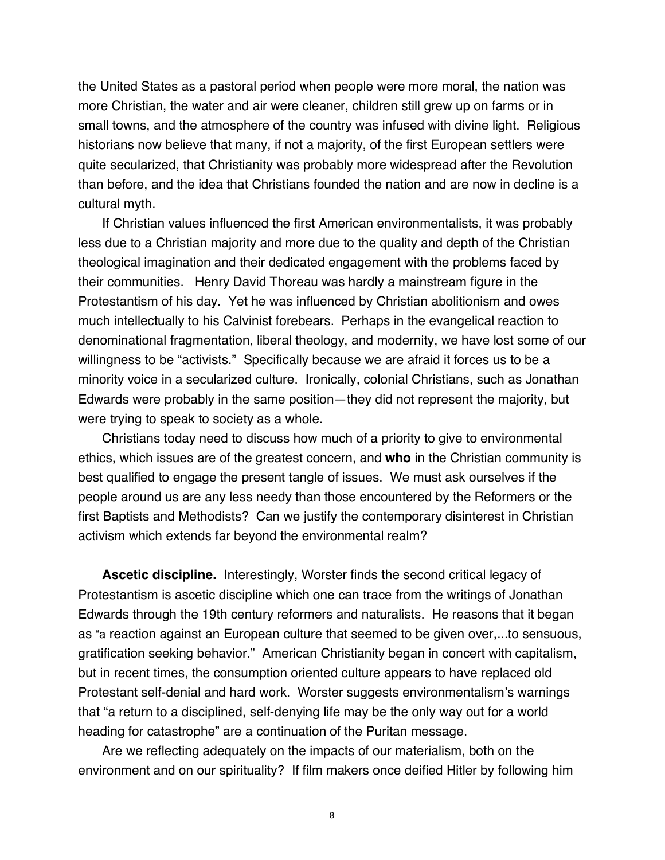the United States as a pastoral period when people were more moral, the nation was more Christian, the water and air were cleaner, children still grew up on farms or in small towns, and the atmosphere of the country was infused with divine light. Religious historians now believe that many, if not a majority, of the first European settlers were quite secularized, that Christianity was probably more widespread after the Revolution than before, and the idea that Christians founded the nation and are now in decline is a cultural myth.

If Christian values influenced the first American environmentalists, it was probably less due to a Christian majority and more due to the quality and depth of the Christian theological imagination and their dedicated engagement with the problems faced by their communities. Henry David Thoreau was hardly a mainstream figure in the Protestantism of his day. Yet he was influenced by Christian abolitionism and owes much intellectually to his Calvinist forebears. Perhaps in the evangelical reaction to denominational fragmentation, liberal theology, and modernity, we have lost some of our willingness to be "activists." Specifically because we are afraid it forces us to be a minority voice in a secularized culture. Ironically, colonial Christians, such as Jonathan Edwards were probably in the same position—they did not represent the majority, but were trying to speak to society as a whole.

Christians today need to discuss how much of a priority to give to environmental ethics, which issues are of the greatest concern, and **who** in the Christian community is best qualified to engage the present tangle of issues. We must ask ourselves if the people around us are any less needy than those encountered by the Reformers or the first Baptists and Methodists? Can we justify the contemporary disinterest in Christian activism which extends far beyond the environmental realm?

**Ascetic discipline.** Interestingly, Worster finds the second critical legacy of Protestantism is ascetic discipline which one can trace from the writings of Jonathan Edwards through the 19th century reformers and naturalists. He reasons that it began as "a reaction against an European culture that seemed to be given over,...to sensuous, gratification seeking behavior." American Christianity began in concert with capitalism, but in recent times, the consumption oriented culture appears to have replaced old Protestant self-denial and hard work. Worster suggests environmentalism's warnings that "a return to a disciplined, self-denying life may be the only way out for a world heading for catastrophe" are a continuation of the Puritan message.

Are we reflecting adequately on the impacts of our materialism, both on the environment and on our spirituality? If film makers once deified Hitler by following him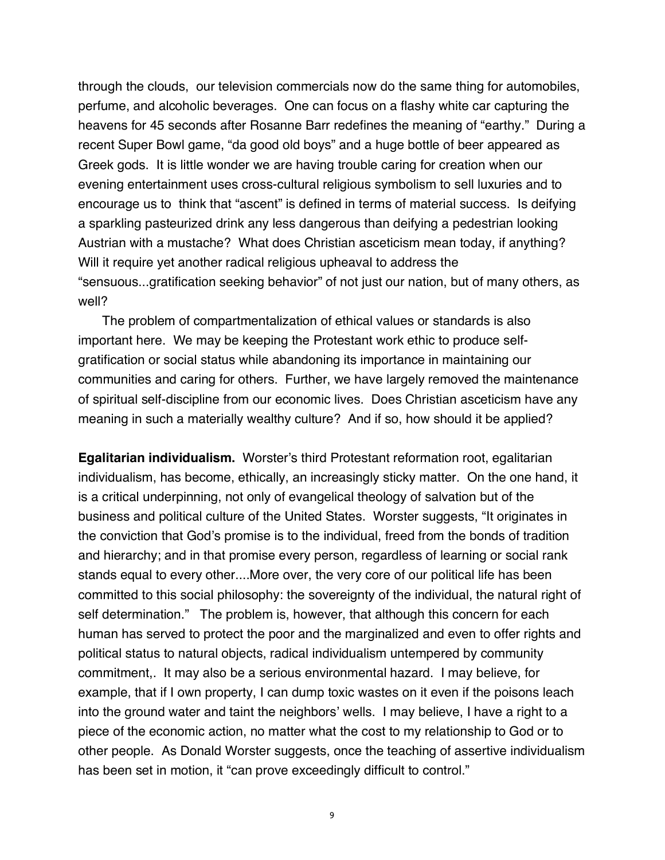through the clouds, our television commercials now do the same thing for automobiles, perfume, and alcoholic beverages. One can focus on a flashy white car capturing the heavens for 45 seconds after Rosanne Barr redefines the meaning of "earthy." During a recent Super Bowl game, "da good old boys" and a huge bottle of beer appeared as Greek gods. It is little wonder we are having trouble caring for creation when our evening entertainment uses cross-cultural religious symbolism to sell luxuries and to encourage us to think that "ascent" is defined in terms of material success. Is deifying a sparkling pasteurized drink any less dangerous than deifying a pedestrian looking Austrian with a mustache? What does Christian asceticism mean today, if anything? Will it require yet another radical religious upheaval to address the "sensuous...gratification seeking behavior" of not just our nation, but of many others, as well?

The problem of compartmentalization of ethical values or standards is also important here. We may be keeping the Protestant work ethic to produce selfgratification or social status while abandoning its importance in maintaining our communities and caring for others. Further, we have largely removed the maintenance of spiritual self-discipline from our economic lives. Does Christian asceticism have any meaning in such a materially wealthy culture? And if so, how should it be applied?

**Egalitarian individualism.** Worster's third Protestant reformation root, egalitarian individualism, has become, ethically, an increasingly sticky matter. On the one hand, it is a critical underpinning, not only of evangelical theology of salvation but of the business and political culture of the United States. Worster suggests, "It originates in the conviction that God's promise is to the individual, freed from the bonds of tradition and hierarchy; and in that promise every person, regardless of learning or social rank stands equal to every other....More over, the very core of our political life has been committed to this social philosophy: the sovereignty of the individual, the natural right of self determination." The problem is, however, that although this concern for each human has served to protect the poor and the marginalized and even to offer rights and political status to natural objects, radical individualism untempered by community commitment,. It may also be a serious environmental hazard. I may believe, for example, that if I own property, I can dump toxic wastes on it even if the poisons leach into the ground water and taint the neighbors' wells. I may believe, I have a right to a piece of the economic action, no matter what the cost to my relationship to God or to other people. As Donald Worster suggests, once the teaching of assertive individualism has been set in motion, it "can prove exceedingly difficult to control."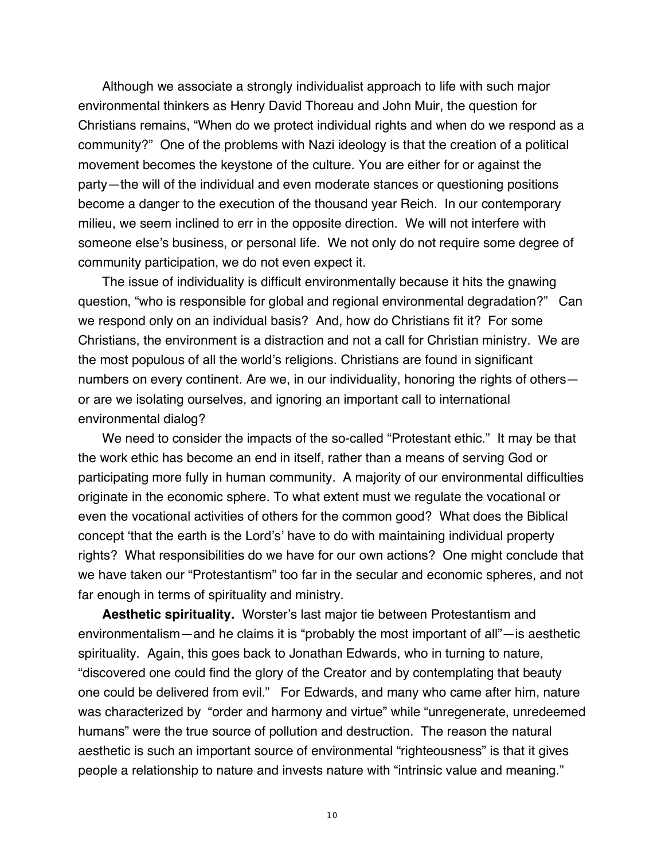Although we associate a strongly individualist approach to life with such major environmental thinkers as Henry David Thoreau and John Muir, the question for Christians remains, "When do we protect individual rights and when do we respond as a community?" One of the problems with Nazi ideology is that the creation of a political movement becomes the keystone of the culture. You are either for or against the party—the will of the individual and even moderate stances or questioning positions become a danger to the execution of the thousand year Reich. In our contemporary milieu, we seem inclined to err in the opposite direction. We will not interfere with someone else's business, or personal life. We not only do not require some degree of community participation, we do not even expect it.

The issue of individuality is difficult environmentally because it hits the gnawing question, "who is responsible for global and regional environmental degradation?" Can we respond only on an individual basis? And, how do Christians fit it? For some Christians, the environment is a distraction and not a call for Christian ministry. We are the most populous of all the world's religions. Christians are found in significant numbers on every continent. Are we, in our individuality, honoring the rights of others or are we isolating ourselves, and ignoring an important call to international environmental dialog?

We need to consider the impacts of the so-called "Protestant ethic." It may be that the work ethic has become an end in itself, rather than a means of serving God or participating more fully in human community. A majority of our environmental difficulties originate in the economic sphere. To what extent must we regulate the vocational or even the vocational activities of others for the common good? What does the Biblical concept 'that the earth is the Lord's' have to do with maintaining individual property rights? What responsibilities do we have for our own actions? One might conclude that we have taken our "Protestantism" too far in the secular and economic spheres, and not far enough in terms of spirituality and ministry.

**Aesthetic spirituality.** Worster's last major tie between Protestantism and environmentalism—and he claims it is "probably the most important of all"—is aesthetic spirituality. Again, this goes back to Jonathan Edwards, who in turning to nature, "discovered one could find the glory of the Creator and by contemplating that beauty one could be delivered from evil." For Edwards, and many who came after him, nature was characterized by "order and harmony and virtue" while "unregenerate, unredeemed humans" were the true source of pollution and destruction. The reason the natural aesthetic is such an important source of environmental "righteousness" is that it gives people a relationship to nature and invests nature with "intrinsic value and meaning."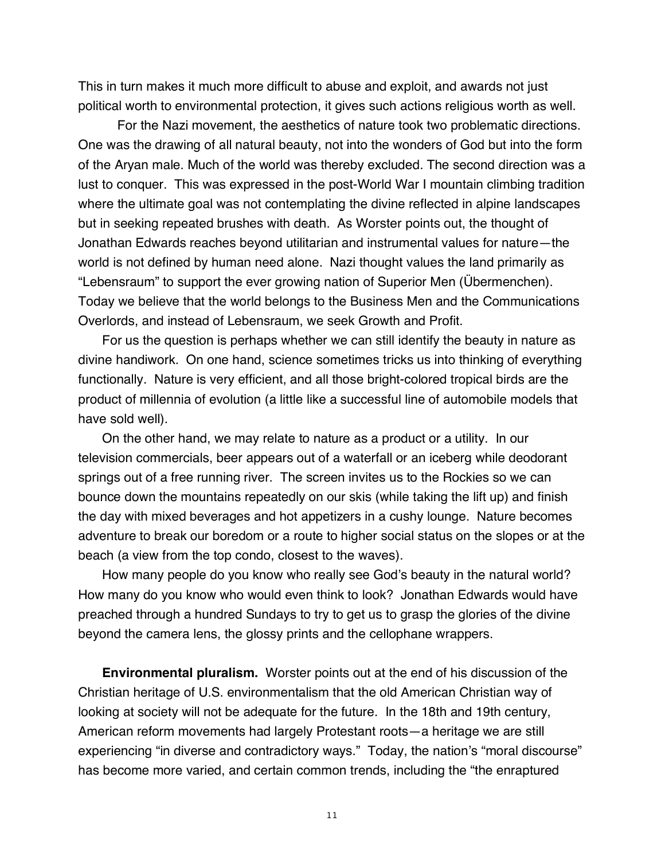This in turn makes it much more difficult to abuse and exploit, and awards not just political worth to environmental protection, it gives such actions religious worth as well.

For the Nazi movement, the aesthetics of nature took two problematic directions. One was the drawing of all natural beauty, not into the wonders of God but into the form of the Aryan male. Much of the world was thereby excluded. The second direction was a lust to conquer. This was expressed in the post-World War I mountain climbing tradition where the ultimate goal was not contemplating the divine reflected in alpine landscapes but in seeking repeated brushes with death. As Worster points out, the thought of Jonathan Edwards reaches beyond utilitarian and instrumental values for nature—the world is not defined by human need alone. Nazi thought values the land primarily as "Lebensraum" to support the ever growing nation of Superior Men (Übermenchen). Today we believe that the world belongs to the Business Men and the Communications Overlords, and instead of Lebensraum, we seek Growth and Profit.

For us the question is perhaps whether we can still identify the beauty in nature as divine handiwork. On one hand, science sometimes tricks us into thinking of everything functionally. Nature is very efficient, and all those bright-colored tropical birds are the product of millennia of evolution (a little like a successful line of automobile models that have sold well).

On the other hand, we may relate to nature as a product or a utility. In our television commercials, beer appears out of a waterfall or an iceberg while deodorant springs out of a free running river. The screen invites us to the Rockies so we can bounce down the mountains repeatedly on our skis (while taking the lift up) and finish the day with mixed beverages and hot appetizers in a cushy lounge. Nature becomes adventure to break our boredom or a route to higher social status on the slopes or at the beach (a view from the top condo, closest to the waves).

How many people do you know who really see God's beauty in the natural world? How many do you know who would even think to look? Jonathan Edwards would have preached through a hundred Sundays to try to get us to grasp the glories of the divine beyond the camera lens, the glossy prints and the cellophane wrappers.

**Environmental pluralism.** Worster points out at the end of his discussion of the Christian heritage of U.S. environmentalism that the old American Christian way of looking at society will not be adequate for the future. In the 18th and 19th century, American reform movements had largely Protestant roots—a heritage we are still experiencing "in diverse and contradictory ways." Today, the nation's "moral discourse" has become more varied, and certain common trends, including the "the enraptured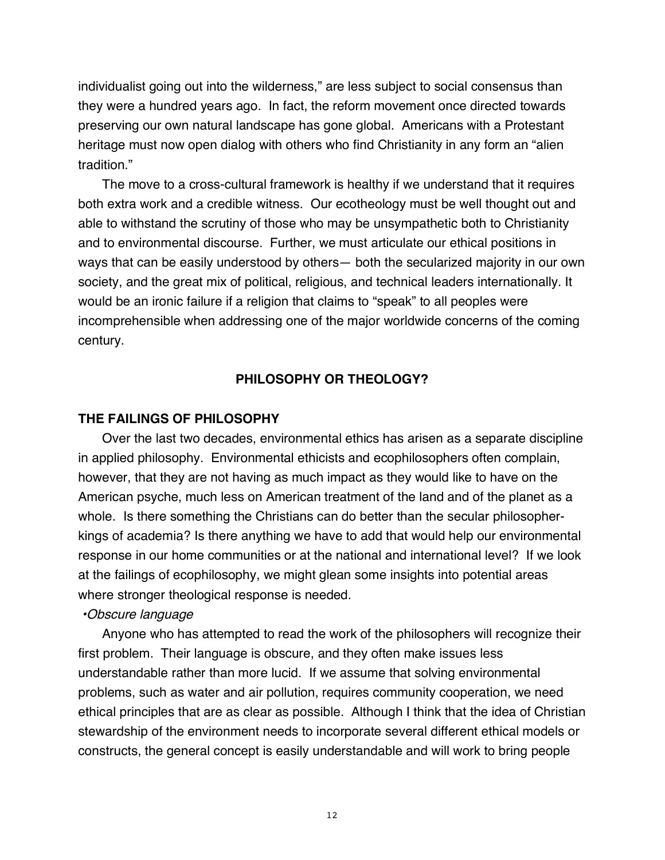individualist going out into the wilderness," are less subject to social consensus than they were a hundred years ago. In fact, the reform movement once directed towards preserving our own natural landscape has gone global. Americans with a Protestant heritage must now open dialog with others who find Christianity in any form an "alien tradition."

The move to a cross-cultural framework is healthy if we understand that it requires both extra work and a credible witness. Our ecotheology must be well thought out and able to withstand the scrutiny of those who may be unsympathetic both to Christianity and to environmental discourse. Further, we must articulate our ethical positions in ways that can be easily understood by others— both the secularized majority in our own society, and the great mix of political, religious, and technical leaders internationally. It would be an ironic failure if a religion that claims to "speak" to all peoples were incomprehensible when addressing one of the major worldwide concerns of the coming century.

### **PHILOSOPHY OR THEOLOGY?**

#### **THE FAILINGS OF PHILOSOPHY**

Over the last two decades, environmental ethics has arisen as a separate discipline in applied philosophy. Environmental ethicists and ecophilosophers often complain, however, that they are not having as much impact as they would like to have on the American psyche, much less on American treatment of the land and of the planet as a whole. Is there something the Christians can do better than the secular philosopherkings of academia? Is there anything we have to add that would help our environmental response in our home communities or at the national and international level? If we look at the failings of ecophilosophy, we might glean some insights into potential areas where stronger theological response is needed.

#### •Obscure language

Anyone who has attempted to read the work of the philosophers will recognize their first problem. Their language is obscure, and they often make issues less understandable rather than more lucid. If we assume that solving environmental problems, such as water and air pollution, requires community cooperation, we need ethical principles that are as clear as possible. Although I think that the idea of Christian stewardship of the environment needs to incorporate several different ethical models or constructs, the general concept is easily understandable and will work to bring people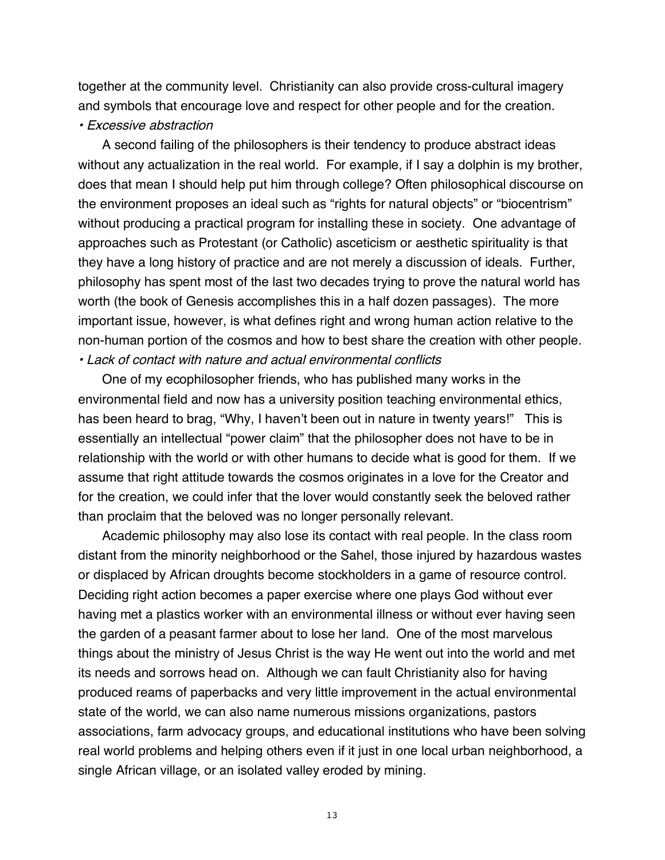together at the community level. Christianity can also provide cross-cultural imagery and symbols that encourage love and respect for other people and for the creation.

#### • Excessive abstraction

A second failing of the philosophers is their tendency to produce abstract ideas without any actualization in the real world. For example, if I say a dolphin is my brother, does that mean I should help put him through college? Often philosophical discourse on the environment proposes an ideal such as "rights for natural objects" or "biocentrism" without producing a practical program for installing these in society. One advantage of approaches such as Protestant (or Catholic) asceticism or aesthetic spirituality is that they have a long history of practice and are not merely a discussion of ideals. Further, philosophy has spent most of the last two decades trying to prove the natural world has worth (the book of Genesis accomplishes this in a half dozen passages). The more important issue, however, is what defines right and wrong human action relative to the non-human portion of the cosmos and how to best share the creation with other people. • Lack of contact with nature and actual environmental conflicts

One of my ecophilosopher friends, who has published many works in the environmental field and now has a university position teaching environmental ethics, has been heard to brag, "Why, I haven't been out in nature in twenty years!" This is essentially an intellectual "power claim" that the philosopher does not have to be in relationship with the world or with other humans to decide what is good for them. If we assume that right attitude towards the cosmos originates in a love for the Creator and for the creation, we could infer that the lover would constantly seek the beloved rather than proclaim that the beloved was no longer personally relevant.

Academic philosophy may also lose its contact with real people. In the class room distant from the minority neighborhood or the Sahel, those injured by hazardous wastes or displaced by African droughts become stockholders in a game of resource control. Deciding right action becomes a paper exercise where one plays God without ever having met a plastics worker with an environmental illness or without ever having seen the garden of a peasant farmer about to lose her land. One of the most marvelous things about the ministry of Jesus Christ is the way He went out into the world and met its needs and sorrows head on. Although we can fault Christianity also for having produced reams of paperbacks and very little improvement in the actual environmental state of the world, we can also name numerous missions organizations, pastors associations, farm advocacy groups, and educational institutions who have been solving real world problems and helping others even if it just in one local urban neighborhood, a single African village, or an isolated valley eroded by mining.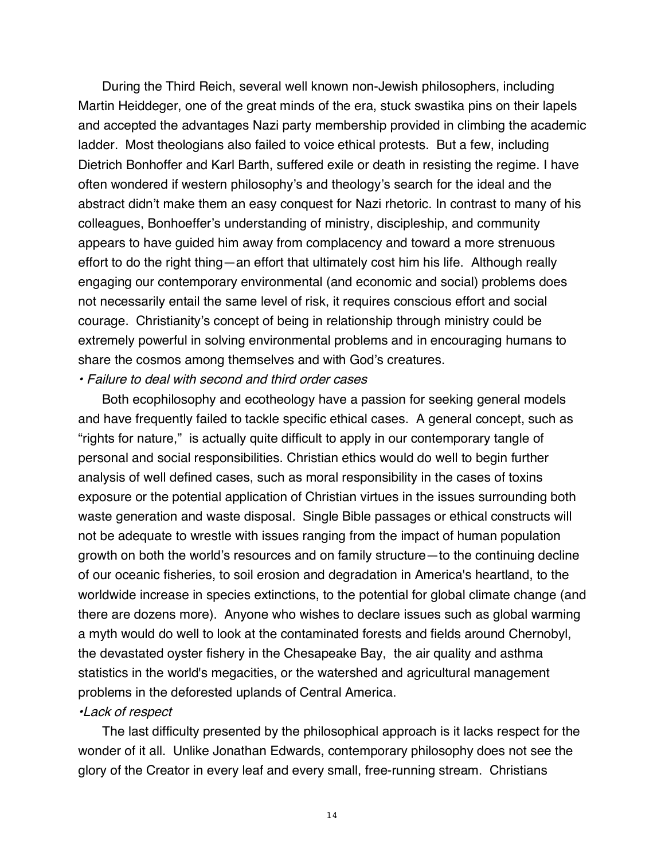During the Third Reich, several well known non-Jewish philosophers, including Martin Heiddeger, one of the great minds of the era, stuck swastika pins on their lapels and accepted the advantages Nazi party membership provided in climbing the academic ladder. Most theologians also failed to voice ethical protests. But a few, including Dietrich Bonhoffer and Karl Barth, suffered exile or death in resisting the regime. I have often wondered if western philosophy's and theology's search for the ideal and the abstract didn't make them an easy conquest for Nazi rhetoric. In contrast to many of his colleagues, Bonhoeffer's understanding of ministry, discipleship, and community appears to have guided him away from complacency and toward a more strenuous effort to do the right thing—an effort that ultimately cost him his life. Although really engaging our contemporary environmental (and economic and social) problems does not necessarily entail the same level of risk, it requires conscious effort and social courage. Christianity's concept of being in relationship through ministry could be extremely powerful in solving environmental problems and in encouraging humans to share the cosmos among themselves and with God's creatures.

#### • Failure to deal with second and third order cases

Both ecophilosophy and ecotheology have a passion for seeking general models and have frequently failed to tackle specific ethical cases. A general concept, such as "rights for nature," is actually quite difficult to apply in our contemporary tangle of personal and social responsibilities. Christian ethics would do well to begin further analysis of well defined cases, such as moral responsibility in the cases of toxins exposure or the potential application of Christian virtues in the issues surrounding both waste generation and waste disposal. Single Bible passages or ethical constructs will not be adequate to wrestle with issues ranging from the impact of human population growth on both the world's resources and on family structure—to the continuing decline of our oceanic fisheries, to soil erosion and degradation in America's heartland, to the worldwide increase in species extinctions, to the potential for global climate change (and there are dozens more). Anyone who wishes to declare issues such as global warming a myth would do well to look at the contaminated forests and fields around Chernobyl, the devastated oyster fishery in the Chesapeake Bay, the air quality and asthma statistics in the world's megacities, or the watershed and agricultural management problems in the deforested uplands of Central America.

#### •Lack of respect

The last difficulty presented by the philosophical approach is it lacks respect for the wonder of it all. Unlike Jonathan Edwards, contemporary philosophy does not see the glory of the Creator in every leaf and every small, free-running stream. Christians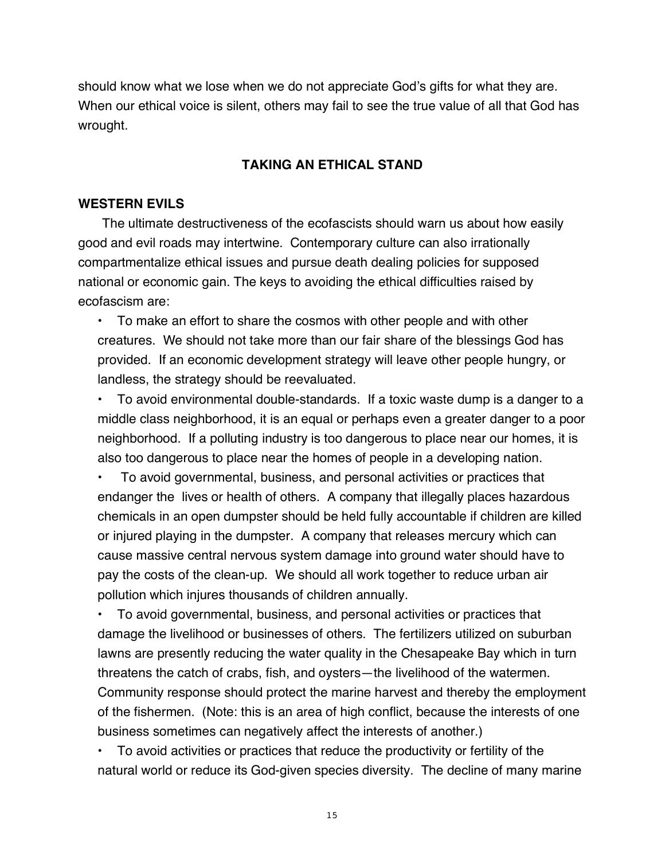should know what we lose when we do not appreciate God's gifts for what they are. When our ethical voice is silent, others may fail to see the true value of all that God has wrought.

## **TAKING AN ETHICAL STAND**

## **WESTERN EVILS**

The ultimate destructiveness of the ecofascists should warn us about how easily good and evil roads may intertwine. Contemporary culture can also irrationally compartmentalize ethical issues and pursue death dealing policies for supposed national or economic gain. The keys to avoiding the ethical difficulties raised by ecofascism are:

• To make an effort to share the cosmos with other people and with other creatures. We should not take more than our fair share of the blessings God has provided. If an economic development strategy will leave other people hungry, or landless, the strategy should be reevaluated.

• To avoid environmental double-standards. If a toxic waste dump is a danger to a middle class neighborhood, it is an equal or perhaps even a greater danger to a poor neighborhood. If a polluting industry is too dangerous to place near our homes, it is also too dangerous to place near the homes of people in a developing nation.

• To avoid governmental, business, and personal activities or practices that endanger the lives or health of others. A company that illegally places hazardous chemicals in an open dumpster should be held fully accountable if children are killed or injured playing in the dumpster. A company that releases mercury which can cause massive central nervous system damage into ground water should have to pay the costs of the clean-up. We should all work together to reduce urban air pollution which injures thousands of children annually.

• To avoid governmental, business, and personal activities or practices that damage the livelihood or businesses of others. The fertilizers utilized on suburban lawns are presently reducing the water quality in the Chesapeake Bay which in turn threatens the catch of crabs, fish, and oysters—the livelihood of the watermen. Community response should protect the marine harvest and thereby the employment of the fishermen. (Note: this is an area of high conflict, because the interests of one business sometimes can negatively affect the interests of another.)

• To avoid activities or practices that reduce the productivity or fertility of the natural world or reduce its God-given species diversity. The decline of many marine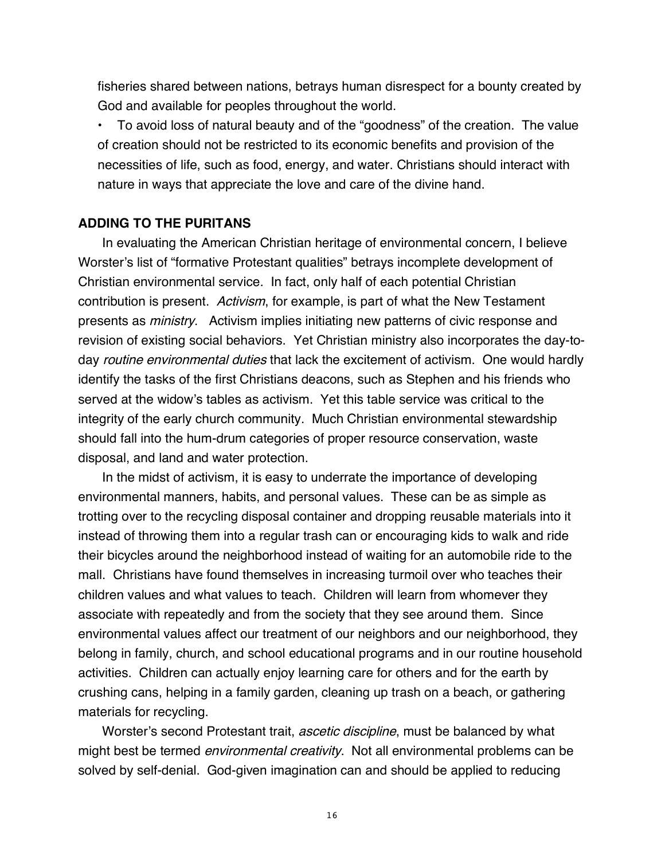fisheries shared between nations, betrays human disrespect for a bounty created by God and available for peoples throughout the world.

• To avoid loss of natural beauty and of the "goodness" of the creation. The value of creation should not be restricted to its economic benefits and provision of the necessities of life, such as food, energy, and water. Christians should interact with nature in ways that appreciate the love and care of the divine hand.

## **ADDING TO THE PURITANS**

In evaluating the American Christian heritage of environmental concern, I believe Worster's list of "formative Protestant qualities" betrays incomplete development of Christian environmental service. In fact, only half of each potential Christian contribution is present. Activism, for example, is part of what the New Testament presents as ministry. Activism implies initiating new patterns of civic response and revision of existing social behaviors. Yet Christian ministry also incorporates the day-today *routine environmental duties* that lack the excitement of activism. One would hardly identify the tasks of the first Christians deacons, such as Stephen and his friends who served at the widow's tables as activism. Yet this table service was critical to the integrity of the early church community. Much Christian environmental stewardship should fall into the hum-drum categories of proper resource conservation, waste disposal, and land and water protection.

In the midst of activism, it is easy to underrate the importance of developing environmental manners, habits, and personal values. These can be as simple as trotting over to the recycling disposal container and dropping reusable materials into it instead of throwing them into a regular trash can or encouraging kids to walk and ride their bicycles around the neighborhood instead of waiting for an automobile ride to the mall. Christians have found themselves in increasing turmoil over who teaches their children values and what values to teach. Children will learn from whomever they associate with repeatedly and from the society that they see around them. Since environmental values affect our treatment of our neighbors and our neighborhood, they belong in family, church, and school educational programs and in our routine household activities. Children can actually enjoy learning care for others and for the earth by crushing cans, helping in a family garden, cleaning up trash on a beach, or gathering materials for recycling.

Worster's second Protestant trait, *ascetic discipline*, must be balanced by what might best be termed *environmental creativity*. Not all environmental problems can be solved by self-denial. God-given imagination can and should be applied to reducing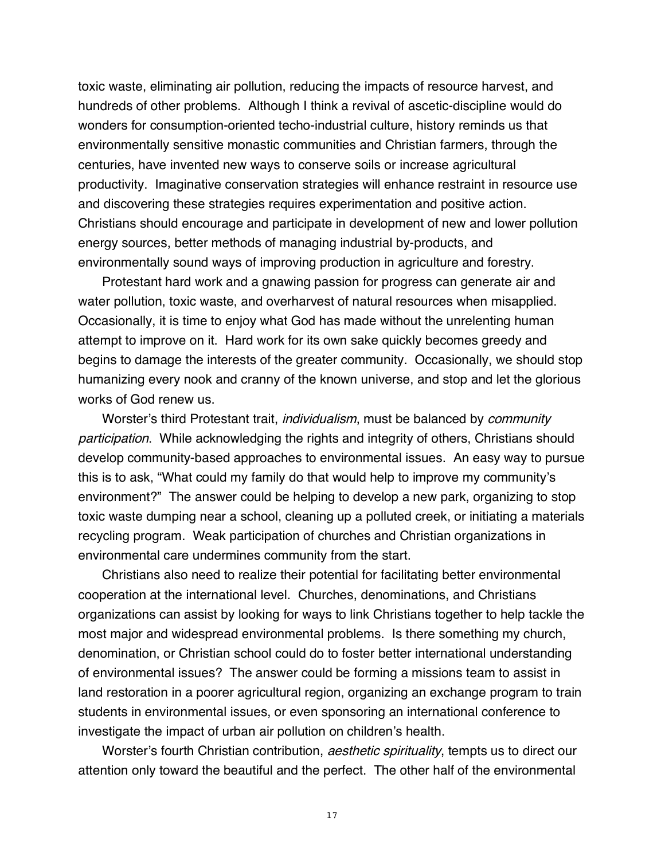toxic waste, eliminating air pollution, reducing the impacts of resource harvest, and hundreds of other problems. Although I think a revival of ascetic-discipline would do wonders for consumption-oriented techo-industrial culture, history reminds us that environmentally sensitive monastic communities and Christian farmers, through the centuries, have invented new ways to conserve soils or increase agricultural productivity. Imaginative conservation strategies will enhance restraint in resource use and discovering these strategies requires experimentation and positive action. Christians should encourage and participate in development of new and lower pollution energy sources, better methods of managing industrial by-products, and environmentally sound ways of improving production in agriculture and forestry.

Protestant hard work and a gnawing passion for progress can generate air and water pollution, toxic waste, and overharvest of natural resources when misapplied. Occasionally, it is time to enjoy what God has made without the unrelenting human attempt to improve on it. Hard work for its own sake quickly becomes greedy and begins to damage the interests of the greater community. Occasionally, we should stop humanizing every nook and cranny of the known universe, and stop and let the glorious works of God renew us.

Worster's third Protestant trait, *individualism*, must be balanced by *community* participation. While acknowledging the rights and integrity of others, Christians should develop community-based approaches to environmental issues. An easy way to pursue this is to ask, "What could my family do that would help to improve my community's environment?" The answer could be helping to develop a new park, organizing to stop toxic waste dumping near a school, cleaning up a polluted creek, or initiating a materials recycling program. Weak participation of churches and Christian organizations in environmental care undermines community from the start.

Christians also need to realize their potential for facilitating better environmental cooperation at the international level. Churches, denominations, and Christians organizations can assist by looking for ways to link Christians together to help tackle the most major and widespread environmental problems. Is there something my church, denomination, or Christian school could do to foster better international understanding of environmental issues? The answer could be forming a missions team to assist in land restoration in a poorer agricultural region, organizing an exchange program to train students in environmental issues, or even sponsoring an international conference to investigate the impact of urban air pollution on children's health.

Worster's fourth Christian contribution, *aesthetic spirituality*, tempts us to direct our attention only toward the beautiful and the perfect. The other half of the environmental